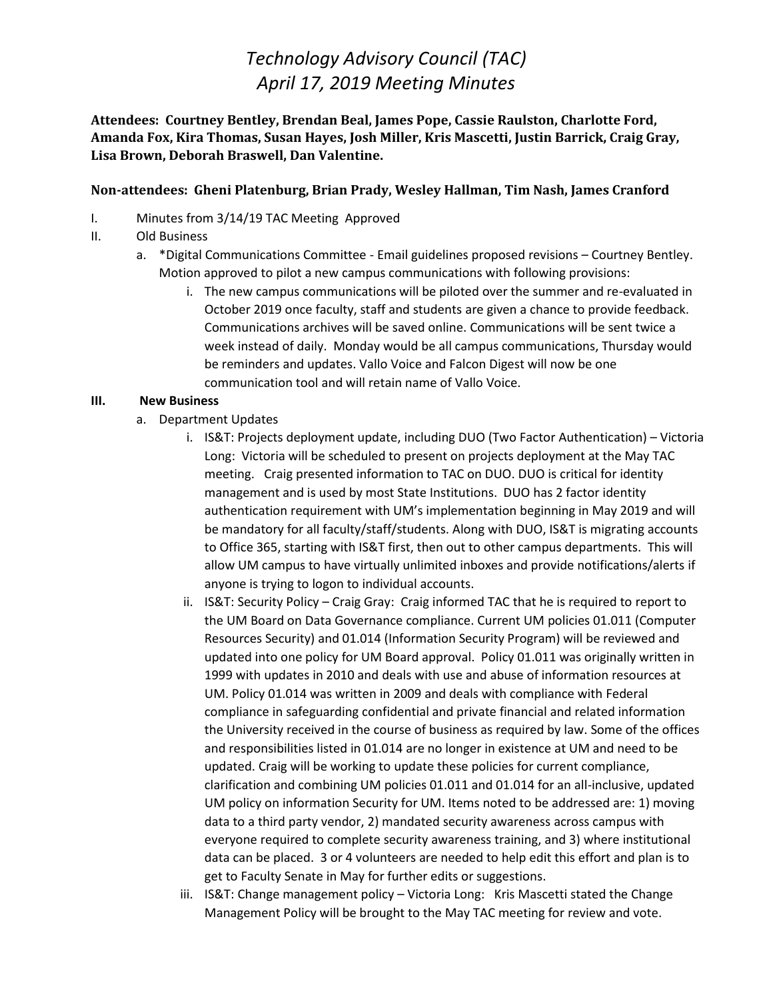## *Technology Advisory Council (TAC) April 17, 2019 Meeting Minutes*

**Attendees: Courtney Bentley, Brendan Beal, James Pope, Cassie Raulston, Charlotte Ford, Amanda Fox, Kira Thomas, Susan Hayes, Josh Miller, Kris Mascetti, Justin Barrick, Craig Gray, Lisa Brown, Deborah Braswell, Dan Valentine.** 

### **Non-attendees: Gheni Platenburg, Brian Prady, Wesley Hallman, Tim Nash, James Cranford**

- I. Minutes from 3/14/19 TAC Meeting Approved
- II. Old Business
	- a. \*Digital Communications Committee Email guidelines proposed revisions Courtney Bentley. Motion approved to pilot a new campus communications with following provisions:
		- i. The new campus communications will be piloted over the summer and re-evaluated in October 2019 once faculty, staff and students are given a chance to provide feedback. Communications archives will be saved online. Communications will be sent twice a week instead of daily. Monday would be all campus communications, Thursday would be reminders and updates. Vallo Voice and Falcon Digest will now be one communication tool and will retain name of Vallo Voice.

#### **III. New Business**

- a. Department Updates
	- i. IS&T: Projects deployment update, including DUO (Two Factor Authentication) Victoria Long: Victoria will be scheduled to present on projects deployment at the May TAC meeting. Craig presented information to TAC on DUO. DUO is critical for identity management and is used by most State Institutions. DUO has 2 factor identity authentication requirement with UM's implementation beginning in May 2019 and will be mandatory for all faculty/staff/students. Along with DUO, IS&T is migrating accounts to Office 365, starting with IS&T first, then out to other campus departments. This will allow UM campus to have virtually unlimited inboxes and provide notifications/alerts if anyone is trying to logon to individual accounts.
	- ii. IS&T: Security Policy Craig Gray: Craig informed TAC that he is required to report to the UM Board on Data Governance compliance. Current UM policies 01.011 (Computer Resources Security) and 01.014 (Information Security Program) will be reviewed and updated into one policy for UM Board approval. Policy 01.011 was originally written in 1999 with updates in 2010 and deals with use and abuse of information resources at UM. Policy 01.014 was written in 2009 and deals with compliance with Federal compliance in safeguarding confidential and private financial and related information the University received in the course of business as required by law. Some of the offices and responsibilities listed in 01.014 are no longer in existence at UM and need to be updated. Craig will be working to update these policies for current compliance, clarification and combining UM policies 01.011 and 01.014 for an all-inclusive, updated UM policy on information Security for UM. Items noted to be addressed are: 1) moving data to a third party vendor, 2) mandated security awareness across campus with everyone required to complete security awareness training, and 3) where institutional data can be placed. 3 or 4 volunteers are needed to help edit this effort and plan is to get to Faculty Senate in May for further edits or suggestions.
	- iii. IS&T: Change management policy Victoria Long: Kris Mascetti stated the Change Management Policy will be brought to the May TAC meeting for review and vote.